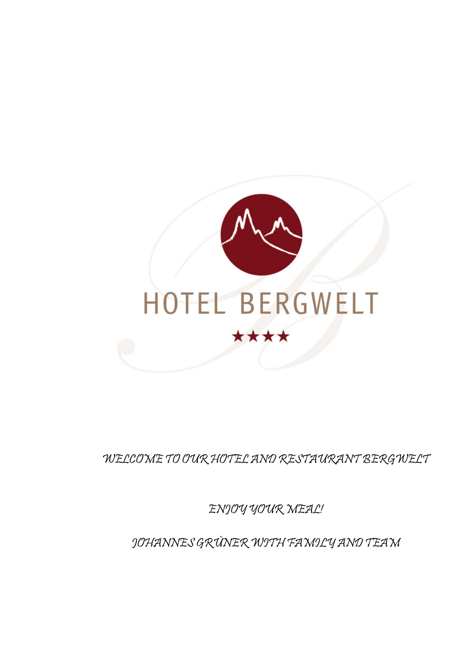

WELCOME TO OUR HOTEL AND RESTAURANT BERGWELT

ENJOY YOUR MEAL!

JOHANNES GRÜNER WITH FAMILY AND TEAM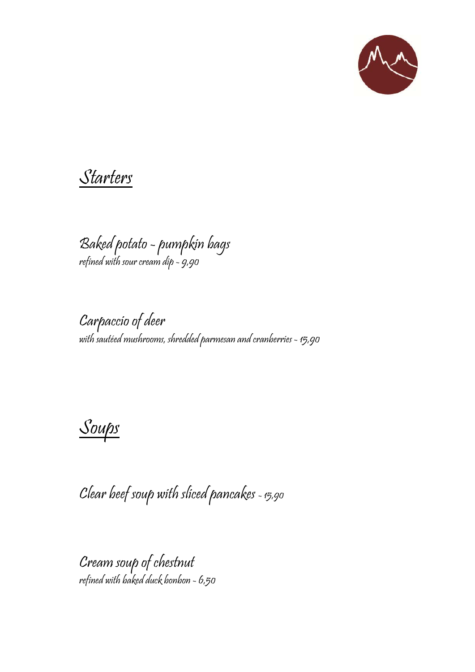

Starters

Baked potato - pumpkin bags refined with sour cream dip - 9,90

Carpaccio of deer with sautéed mushrooms, shredded parmesan and cranberries - 15,90

Soups

Clear beef soup with sliced pancakes - 15,90

Cream soup of chestnut refined with baked duck bonbon - 6,50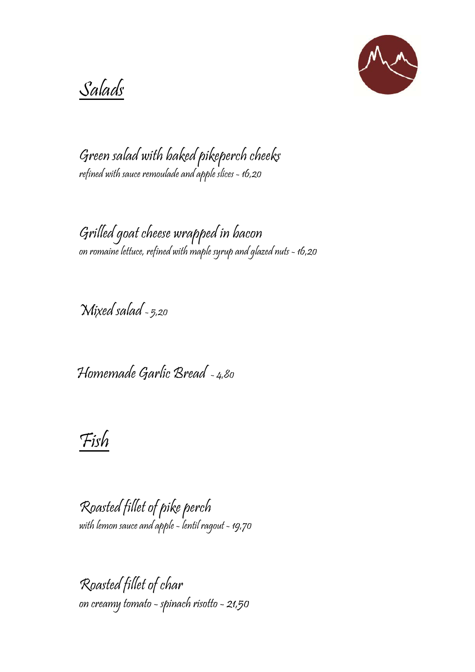

Salads

Green salad with baked pikeperch cheeks refined with sauce remoulade and apple slices - 16,20

Grilled goat cheese wrapped in bacon on romaine lettuce, refined with maple syrup and glazed nuts - 16,20

Mixed salad - 5,20

Homemade Garlic Bread - 4,80

Fish

Roasted fillet of pike perch with lemon sauce and apple - lentil ragout - 19,70

Roasted fillet of char on creamy tomato - spinach risotto - 21,50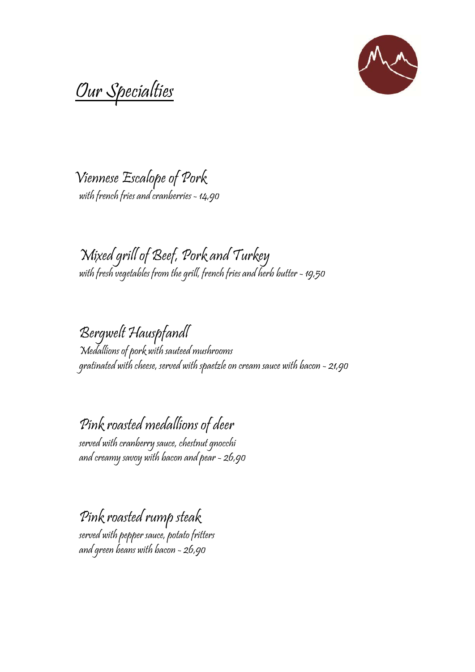

Our Specialties

 Viennese Escalope of Pork with french fries and cranberries - 14,90

Mixed grill of Beef, Pork and Turkey with fresh vegetables from the grill, french fries and herb butter - 19,50

Bergwelt Hauspfandl Medallions of pork with sauteed mushrooms gratinated with cheese, served with spaetzle on cream sauce with bacon - 21,90

Pink roasted medallions of deer served with cranberry sauce, chestnut gnocchi

and creamy savoy with bacon and pear - 26,90

Pink roasted rump steak served with pepper sauce, potato fritters and green beans with bacon - 26,90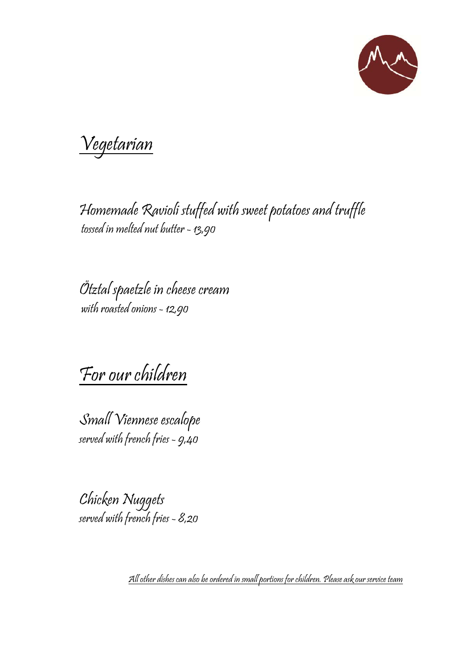

Vegetarian

Homemade Ravioli stuffed with sweet potatoes and truffle tossed in melted nut butter - 13,90

Ötztal spaetzle in cheese cream with roasted onions - 12,90

For our children

Small Viennese escalope served with french fries - 9,40

Chicken Nuggets served with french fries - 8,20

All other dishes can also be ordered in small portions for children. Please ask our service team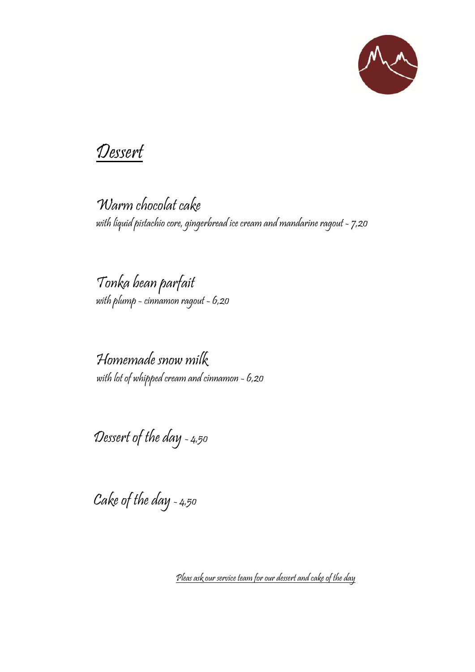

## Dessert

Warm chocolat cake with liquid pistachio core, gingerbread ice cream and mandarine ragout - 7,20

Tonka bean parfait with plump - cinnamon ragout - 6,20

Homemade snow milk with lot of whipped cream and cinnamon - 6,20

Dessert of the day - 4,50

Cake of the day - 4,50

Pleas ask our service team for our dessert and cake of the day